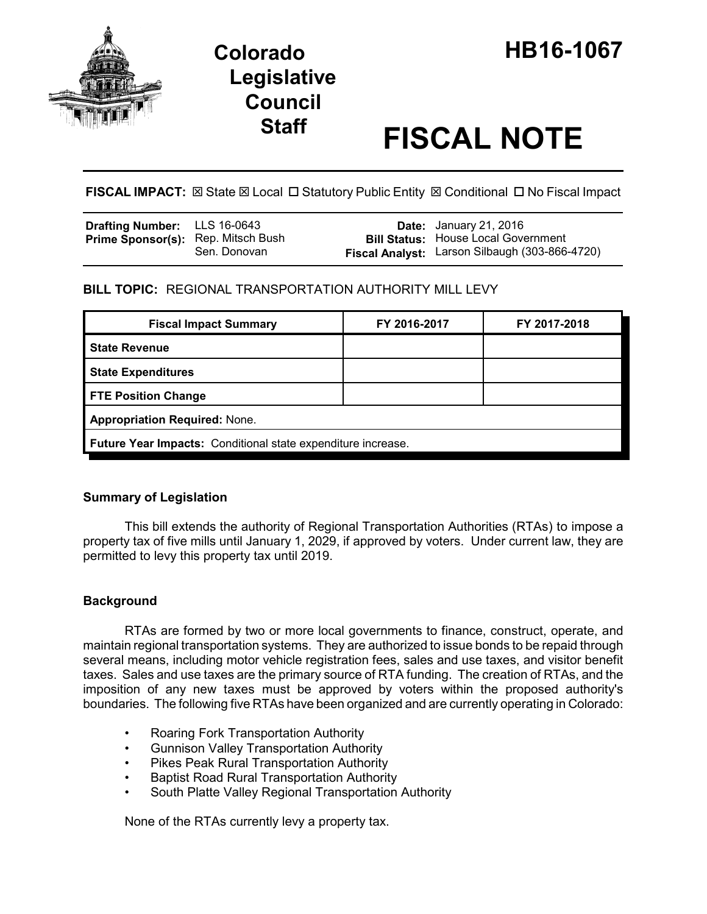

# **Staff FISCAL NOTE**

**FISCAL IMPACT:** ⊠ State ⊠ Local □ Statutory Public Entity ⊠ Conditional □ No Fiscal Impact

| <b>Drafting Number:</b> LLS 16-0643 |              | <b>Date:</b> January 21, 2016                  |
|-------------------------------------|--------------|------------------------------------------------|
| Prime Sponsor(s): Rep. Mitsch Bush  |              | <b>Bill Status: House Local Government</b>     |
|                                     | Sen. Donovan | Fiscal Analyst: Larson Silbaugh (303-866-4720) |

**BILL TOPIC:** REGIONAL TRANSPORTATION AUTHORITY MILL LEVY

| <b>Fiscal Impact Summary</b>                                 | FY 2016-2017 | FY 2017-2018 |  |  |
|--------------------------------------------------------------|--------------|--------------|--|--|
| <b>State Revenue</b>                                         |              |              |  |  |
| <b>State Expenditures</b>                                    |              |              |  |  |
| <b>FTE Position Change</b>                                   |              |              |  |  |
| <b>Appropriation Required: None.</b>                         |              |              |  |  |
| Future Year Impacts: Conditional state expenditure increase. |              |              |  |  |

## **Summary of Legislation**

This bill extends the authority of Regional Transportation Authorities (RTAs) to impose a property tax of five mills until January 1, 2029, if approved by voters. Under current law, they are permitted to levy this property tax until 2019.

## **Background**

RTAs are formed by two or more local governments to finance, construct, operate, and maintain regional transportation systems. They are authorized to issue bonds to be repaid through several means, including motor vehicle registration fees, sales and use taxes, and visitor benefit taxes. Sales and use taxes are the primary source of RTA funding. The creation of RTAs, and the imposition of any new taxes must be approved by voters within the proposed authority's boundaries. The following five RTAs have been organized and are currently operating in Colorado:

- Roaring Fork Transportation Authority
- Gunnison Valley Transportation Authority
- Pikes Peak Rural Transportation Authority
- Baptist Road Rural Transportation Authority
- South Platte Valley Regional Transportation Authority

None of the RTAs currently levy a property tax.